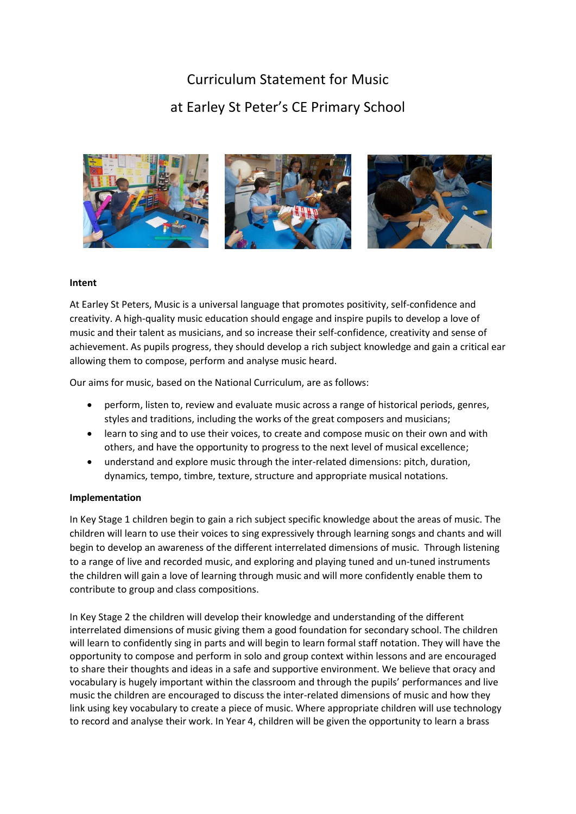# Curriculum Statement for Music at Earley St Peter's CE Primary School



### **Intent**

At Earley St Peters, Music is a universal language that promotes positivity, self-confidence and creativity. A high-quality music education should engage and inspire pupils to develop a love of music and their talent as musicians, and so increase their self-confidence, creativity and sense of achievement. As pupils progress, they should develop a rich subject knowledge and gain a critical ear allowing them to compose, perform and analyse music heard.

Our aims for music, based on the National Curriculum, are as follows:

- perform, listen to, review and evaluate music across a range of historical periods, genres, styles and traditions, including the works of the great composers and musicians;
- learn to sing and to use their voices, to create and compose music on their own and with others, and have the opportunity to progress to the next level of musical excellence;
- understand and explore music through the inter-related dimensions: pitch, duration, dynamics, tempo, timbre, texture, structure and appropriate musical notations.

#### **Implementation**

In Key Stage 1 children begin to gain a rich subject specific knowledge about the areas of music. The children will learn to use their voices to sing expressively through learning songs and chants and will begin to develop an awareness of the different interrelated dimensions of music. Through listening to a range of live and recorded music, and exploring and playing tuned and un-tuned instruments the children will gain a love of learning through music and will more confidently enable them to contribute to group and class compositions.

In Key Stage 2 the children will develop their knowledge and understanding of the different interrelated dimensions of music giving them a good foundation for secondary school. The children will learn to confidently sing in parts and will begin to learn formal staff notation. They will have the opportunity to compose and perform in solo and group context within lessons and are encouraged to share their thoughts and ideas in a safe and supportive environment. We believe that oracy and vocabulary is hugely important within the classroom and through the pupils' performances and live music the children are encouraged to discuss the inter-related dimensions of music and how they link using key vocabulary to create a piece of music. Where appropriate children will use technology to record and analyse their work. In Year 4, children will be given the opportunity to learn a brass